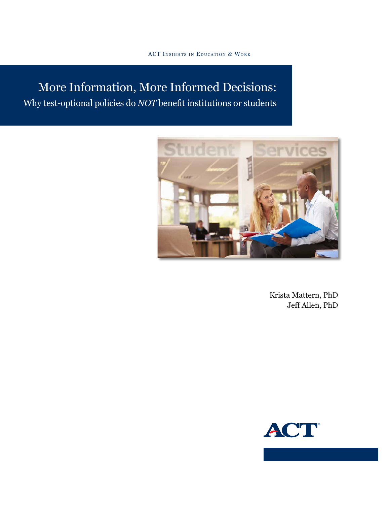# More Information, More Informed Decisions: Why test-optional policies do *NOT* benefit institutions or students



Krista Mattern, PhD Jeff Allen, PhD

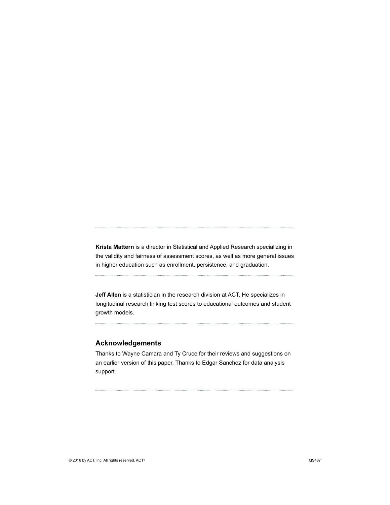**Krista Mattern** is a director in Statistical and Applied Research specializing in the validity and fairness of assessment scores, as well as more general issues in higher education such as enrollment, persistence, and graduation.

**Jeff Allen** is a statistician in the research division at ACT. He specializes in longitudinal research linking test scores to educational outcomes and student growth models.

#### **Acknowledgements**

Thanks to Wayne Camara and Ty Cruce for their reviews and suggestions on an earlier version of this paper. Thanks to Edgar Sanchez for data analysis support.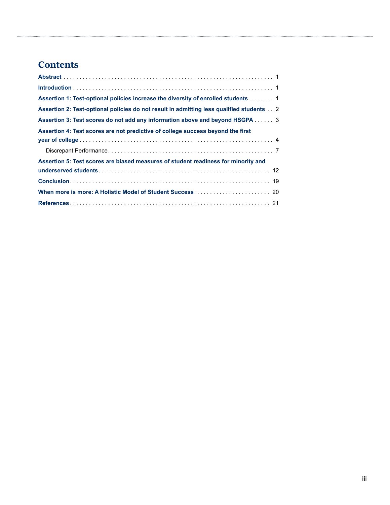## **Contents**

| Assertion 1: Test-optional policies increase the diversity of enrolled students 1        |
|------------------------------------------------------------------------------------------|
| Assertion 2: Test-optional policies do not result in admitting less qualified students 2 |
| Assertion 3: Test scores do not add any information above and beyond HSGPA 3             |
| Assertion 4: Test scores are not predictive of college success beyond the first          |
|                                                                                          |
|                                                                                          |
| Assertion 5: Test scores are biased measures of student readiness for minority and       |
|                                                                                          |
|                                                                                          |
|                                                                                          |
|                                                                                          |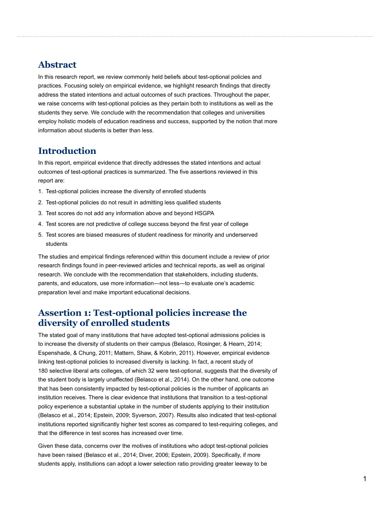#### **Abstract**

In this research report, we review commonly held beliefs about test-optional policies and practices. Focusing solely on empirical evidence, we highlight research findings that directly address the stated intentions and actual outcomes of such practices. Throughout the paper, we raise concerns with test-optional policies as they pertain both to institutions as well as the students they serve. We conclude with the recommendation that colleges and universities employ holistic models of education readiness and success, supported by the notion that more information about students is better than less.

#### **Introduction**

In this report, empirical evidence that directly addresses the stated intentions and actual outcomes of test-optional practices is summarized. The five assertions reviewed in this report are:

- 1. Test-optional policies increase the diversity of enrolled students
- 2. Test-optional policies do not result in admitting less qualified students
- 3. Test scores do not add any information above and beyond HSGPA
- 4. Test scores are not predictive of college success beyond the first year of college
- 5. Test scores are biased measures of student readiness for minority and underserved students

The studies and empirical findings referenced within this document include a review of prior research findings found in peer-reviewed articles and technical reports, as well as original research. We conclude with the recommendation that stakeholders, including students, parents, and educators, use more information―not less―to evaluate one's academic preparation level and make important educational decisions.

#### **Assertion 1: Test-optional policies increase the diversity of enrolled students**

The stated goal of many institutions that have adopted test-optional admissions policies is to increase the diversity of students on their campus (Belasco, Rosinger, & Hearn, 2014; Espenshade, & Chung, 2011; Mattern, Shaw, & Kobrin, 2011). However, empirical evidence linking test-optional policies to increased diversity is lacking. In fact, a recent study of 180 selective liberal arts colleges, of which 32 were test-optional, suggests that the diversity of the student body is largely unaffected (Belasco et al., 2014). On the other hand, one outcome that has been consistently impacted by test-optional policies is the number of applicants an institution receives. There is clear evidence that institutions that transition to a test-optional policy experience a substantial uptake in the number of students applying to their institution (Belasco et al., 2014; Epstein, 2009; Syverson, 2007). Results also indicated that test-optional institutions reported significantly higher test scores as compared to test-requiring colleges, and that the difference in test scores has increased over time.

Given these data, concerns over the motives of institutions who adopt test-optional policies have been raised (Belasco et al., 2014; Diver, 2006; Epstein, 2009). Specifically, if more students apply, institutions can adopt a lower selection ratio providing greater leeway to be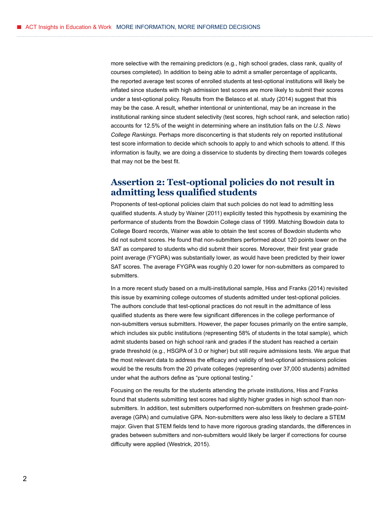more selective with the remaining predictors (e.g., high school grades, class rank, quality of courses completed). In addition to being able to admit a smaller percentage of applicants, the reported average test scores of enrolled students at test-optional institutions will likely be inflated since students with high admission test scores are more likely to submit their scores under a test-optional policy. Results from the Belasco et al. study (2014) suggest that this may be the case. A result, whether intentional or unintentional, may be an increase in the institutional ranking since student selectivity (test scores, high school rank, and selection ratio) accounts for 12.5% of the weight in determining where an institution falls on the *U.S. News College Rankings*. Perhaps more disconcerting is that students rely on reported institutional test score information to decide which schools to apply to and which schools to attend. If this information is faulty, we are doing a disservice to students by directing them towards colleges that may not be the best fit.

## **Assertion 2: Test-optional policies do not result in admitting less qualified students**

Proponents of test-optional policies claim that such policies do not lead to admitting less qualified students. A study by Wainer (2011) explicitly tested this hypothesis by examining the performance of students from the Bowdoin College class of 1999. Matching Bowdoin data to College Board records, Wainer was able to obtain the test scores of Bowdoin students who did not submit scores. He found that non-submitters performed about 120 points lower on the SAT as compared to students who did submit their scores. Moreover, their first year grade point average (FYGPA) was substantially lower, as would have been predicted by their lower SAT scores. The average FYGPA was roughly 0.20 lower for non-submitters as compared to submitters.

In a more recent study based on a multi-institutional sample, Hiss and Franks (2014) revisited this issue by examining college outcomes of students admitted under test-optional policies. The authors conclude that test-optional practices do not result in the admittance of less qualified students as there were few significant differences in the college performance of non-submitters versus submitters. However, the paper focuses primarily on the entire sample, which includes six public institutions (representing 58% of students in the total sample), which admit students based on high school rank and grades if the student has reached a certain grade threshold (e.g., HSGPA of 3.0 or higher) but still require admissions tests. We argue that the most relevant data to address the efficacy and validity of test-optional admissions policies would be the results from the 20 private colleges (representing over 37,000 students) admitted under what the authors define as "pure optional testing."

Focusing on the results for the students attending the private institutions, Hiss and Franks found that students submitting test scores had slightly higher grades in high school than nonsubmitters. In addition, test submitters outperformed non-submitters on freshmen grade-pointaverage (GPA) and cumulative GPA. Non-submitters were also less likely to declare a STEM major. Given that STEM fields tend to have more rigorous grading standards, the differences in grades between submitters and non-submitters would likely be larger if corrections for course difficulty were applied (Westrick, 2015).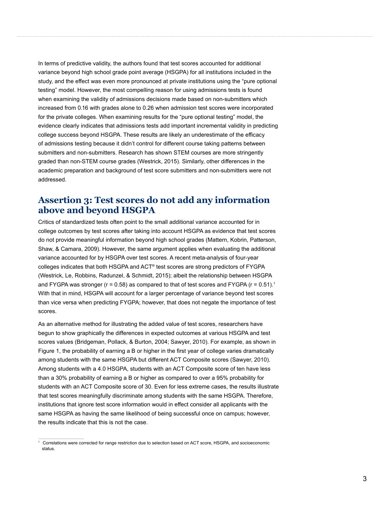In terms of predictive validity, the authors found that test scores accounted for additional variance beyond high school grade point average (HSGPA) for all institutions included in the study, and the effect was even more pronounced at private institutions using the "pure optional testing" model. However, the most compelling reason for using admissions tests is found when examining the validity of admissions decisions made based on non-submitters which increased from 0.16 with grades alone to 0.26 when admission test scores were incorporated for the private colleges. When examining results for the "pure optional testing" model, the evidence clearly indicates that admissions tests add important incremental validity in predicting college success beyond HSGPA. These results are likely an underestimate of the efficacy of admissions testing because it didn't control for different course taking patterns between submitters and non-submitters. Research has shown STEM courses are more stringently graded than non-STEM course grades (Westrick, 2015). Similarly, other differences in the academic preparation and background of test score submitters and non-submitters were not addressed.

### **Assertion 3: Test scores do not add any information above and beyond HSGPA**

Critics of standardized tests often point to the small additional variance accounted for in college outcomes by test scores after taking into account HSGPA as evidence that test scores do not provide meaningful information beyond high school grades (Mattern, Kobrin, Patterson, Shaw, & Camara, 2009). However, the same argument applies when evaluating the additional variance accounted for by HSGPA over test scores. A recent meta-analysis of four-year colleges indicates that both HSGPA and ACT® test scores are strong predictors of FYGPA (Westrick, Le, Robbins, Radunzel, & Schmidt, 2015); albeit the relationship between HSGPA and FYGPA was stronger ( $r = 0.58$ ) as compared to that of test scores and FYGPA ( $r = 0.51$ ).<sup>1</sup> With that in mind, HSGPA will account for a larger percentage of variance beyond test scores than vice versa when predicting FYGPA; however, that does not negate the importance of test scores.

As an alternative method for illustrating the added value of test scores, researchers have begun to show graphically the differences in expected outcomes at various HSGPA and test scores values (Bridgeman, Pollack, & Burton, 2004; Sawyer, 2010). For example, as shown in Figure 1, the probability of earning a B or higher in the first year of college varies dramatically among students with the same HSGPA but different ACT Composite scores (Sawyer, 2010). Among students with a 4.0 HSGPA, students with an ACT Composite score of ten have less than a 30% probability of earning a B or higher as compared to over a 95% probability for students with an ACT Composite score of 30. Even for less extreme cases, the results illustrate that test scores meaningfully discriminate among students with the same HSGPA. Therefore, institutions that ignore test score information would in effect consider all applicants with the same HSGPA as having the same likelihood of being successful once on campus; however, the results indicate that this is not the case.

<sup>1</sup> Correlations were corrected for range restriction due to selection based on ACT score, HSGPA, and socioeconomic status.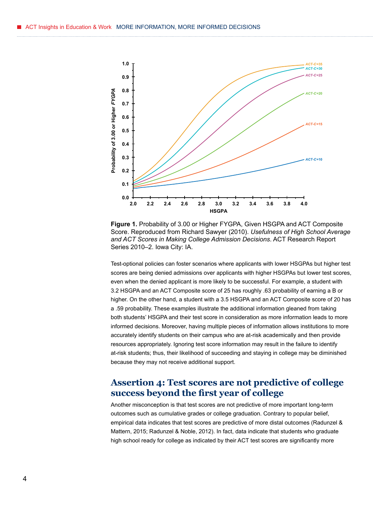

**Figure 1.** Probability of 3.00 or Higher FYGPA, Given HSGPA and ACT Composite Score. Reproduced from Richard Sawyer (2010). *Usefulness of High School Average and ACT Scores in Making College Admission Decisions*. ACT Research Report Series 2010–2. Iowa City: IA.

Test-optional policies can foster scenarios where applicants with lower HSGPAs but higher test scores are being denied admissions over applicants with higher HSGPAs but lower test scores, even when the denied applicant is more likely to be successful. For example, a student with 3.2 HSGPA and an ACT Composite score of 25 has roughly .63 probability of earning a B or higher. On the other hand, a student with a 3.5 HSGPA and an ACT Composite score of 20 has a .59 probability. These examples illustrate the additional information gleaned from taking both students' HSGPA and their test score in consideration as more information leads to more informed decisions. Moreover, having multiple pieces of information allows institutions to more accurately identify students on their campus who are at-risk academically and then provide resources appropriately. Ignoring test score information may result in the failure to identify at-risk students; thus, their likelihood of succeeding and staying in college may be diminished because they may not receive additional support.

#### **Assertion 4: Test scores are not predictive of college success beyond the first year of college**

Another misconception is that test scores are not predictive of more important long-term outcomes such as cumulative grades or college graduation. Contrary to popular belief, empirical data indicates that test scores are predictive of more distal outcomes (Radunzel & Mattern, 2015; Radunzel & Noble, 2012). In fact, data indicate that students who graduate high school ready for college as indicated by their ACT test scores are significantly more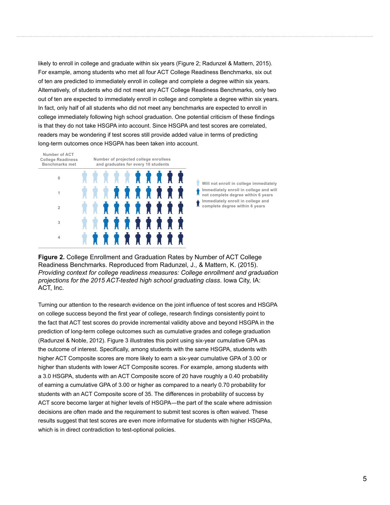likely to enroll in college and graduate within six years (Figure 2; Radunzel & Mattern, 2015). For example, among students who met all four ACT College Readiness Benchmarks, six out of ten are predicted to immediately enroll in college and complete a degree within six years. Alternatively, of students who did not meet any ACT College Readiness Benchmarks, only two out of ten are expected to immediately enroll in college and complete a degree within six years. In fact, only half of all students who did not meet any benchmarks are expected to enroll in college immediately following high school graduation. One potential criticism of these findings is that they do not take HSGPA into account. Since HSGPA and test scores are correlated, readers may be wondering if test scores still provide added value in terms of predicting long-term outcomes once HSGPA has been taken into account.





**Figure 2.** College Enrollment and Graduation Rates by Number of ACT College Readiness Benchmarks. Reproduced from Radunzel, J., & Mattern, K. (2015). *Providing context for college readiness measures: College enrollment and graduation projections for the 2015 ACT-tested high school graduating class*. Iowa City, IA: ACT, Inc.

Turning our attention to the research evidence on the joint influence of test scores and HSGPA on college success beyond the first year of college, research findings consistently point to the fact that ACT test scores do provide incremental validity above and beyond HSGPA in the prediction of long-term college outcomes such as cumulative grades and college graduation (Radunzel & Noble, 2012). Figure 3 illustrates this point using six-year cumulative GPA as the outcome of interest. Specifically, among students with the same HSGPA, students with higher ACT Composite scores are more likely to earn a six-year cumulative GPA of 3.00 or higher than students with lower ACT Composite scores. For example, among students with a 3.0 HSGPA, students with an ACT Composite score of 20 have roughly a 0.40 probability of earning a cumulative GPA of 3.00 or higher as compared to a nearly 0.70 probability for students with an ACT Composite score of 35. The differences in probability of success by ACT score become larger at higher levels of HSGPA—the part of the scale where admission decisions are often made and the requirement to submit test scores is often waived. These results suggest that test scores are even more informative for students with higher HSGPAs, which is in direct contradiction to test-optional policies.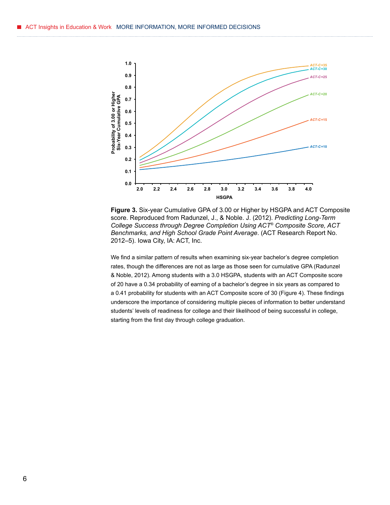

**Figure 3.** Six-year Cumulative GPA of 3.00 or Higher by HSGPA and ACT Composite score. Reproduced from Radunzel, J., & Noble. J. (2012). *Predicting Long-Term College Success through Degree Completion Using ACT® Composite Score, ACT Benchmarks, and High School Grade Point Average*. (ACT Research Report No. 2012–5). Iowa City, IA: ACT, Inc.

We find a similar pattern of results when examining six-year bachelor's degree completion rates, though the differences are not as large as those seen for cumulative GPA (Radunzel & Noble, 2012). Among students with a 3.0 HSGPA, students with an ACT Composite score of 20 have a 0.34 probability of earning of a bachelor's degree in six years as compared to a 0.41 probability for students with an ACT Composite score of 30 (Figure 4). These findings underscore the importance of considering multiple pieces of information to better understand students' levels of readiness for college and their likelihood of being successful in college, starting from the first day through college graduation.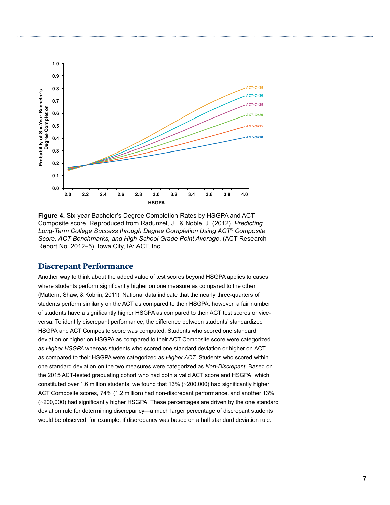

**Figure 4.** Six-year Bachelor's Degree Completion Rates by HSGPA and ACT Composite score. Reproduced from Radunzel, J., & Noble. J. (2012). *Predicting Long-Term College Success through Degree Completion Using ACT® Composite Score, ACT Benchmarks, and High School Grade Point Average*. (ACT Research Report No. 2012–5). Iowa City, IA: ACT, Inc.

#### **Discrepant Performance**

Another way to think about the added value of test scores beyond HSGPA applies to cases where students perform significantly higher on one measure as compared to the other (Mattern, Shaw, & Kobrin, 2011). National data indicate that the nearly three-quarters of students perform similarly on the ACT as compared to their HSGPA; however, a fair number of students have a significantly higher HSGPA as compared to their ACT test scores or viceversa. To identify discrepant performance, the difference between students' standardized HSGPA and ACT Composite score was computed. Students who scored one standard deviation or higher on HSGPA as compared to their ACT Composite score were categorized as *Higher HSGPA* whereas students who scored one standard deviation or higher on ACT as compared to their HSGPA were categorized as *Higher ACT*. Students who scored within one standard deviation on the two measures were categorized as *Non-Discrepant.* Based on the 2015 ACT-tested graduating cohort who had both a valid ACT score and HSGPA, which constituted over 1.6 million students, we found that 13% (~200,000) had significantly higher ACT Composite scores, 74% (1.2 million) had non-discrepant performance, and another 13% (~200,000) had significantly higher HSGPA. These percentages are driven by the one standard deviation rule for determining discrepancy—a much larger percentage of discrepant students would be observed, for example, if discrepancy was based on a half standard deviation rule.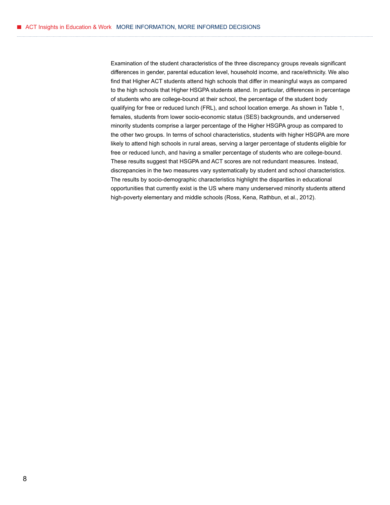Examination of the student characteristics of the three discrepancy groups reveals significant differences in gender, parental education level, household income, and race/ethnicity. We also find that Higher ACT students attend high schools that differ in meaningful ways as compared to the high schools that Higher HSGPA students attend. In particular, differences in percentage of students who are college-bound at their school, the percentage of the student body qualifying for free or reduced lunch (FRL), and school location emerge. As shown in Table 1, females, students from lower socio-economic status (SES) backgrounds, and underserved minority students comprise a larger percentage of the Higher HSGPA group as compared to the other two groups. In terms of school characteristics, students with higher HSGPA are more likely to attend high schools in rural areas, serving a larger percentage of students eligible for free or reduced lunch, and having a smaller percentage of students who are college-bound. These results suggest that HSGPA and ACT scores are not redundant measures. Instead, discrepancies in the two measures vary systematically by student and school characteristics. The results by socio-demographic characteristics highlight the disparities in educational opportunities that currently exist is the US where many underserved minority students attend high-poverty elementary and middle schools (Ross, Kena, Rathbun, et al., 2012).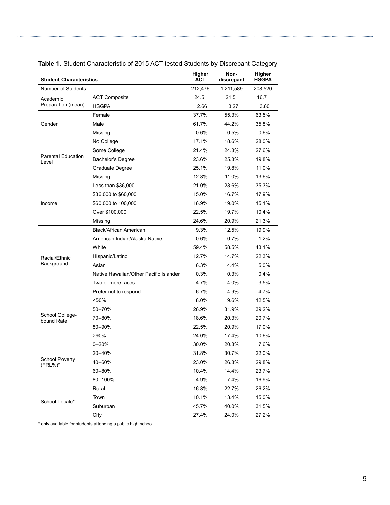| <b>Student Characteristics</b>       |                                        | Higher<br><b>ACT</b> | Non-<br>discrepant | Higher<br><b>HSGPA</b> |
|--------------------------------------|----------------------------------------|----------------------|--------------------|------------------------|
| Number of Students                   |                                        | 212.476              | 1,211,589          | 208,520                |
| Academic<br>Preparation (mean)       | <b>ACT Composite</b>                   | 24.5                 | 21.5               | 16.7                   |
|                                      | <b>HSGPA</b>                           | 2.66                 | 3.27               | 3.60                   |
| Gender                               | Female                                 | 37.7%                | 55.3%              | 63.5%                  |
|                                      | Male                                   | 61.7%                | 44.2%              | 35.8%                  |
|                                      | Missing                                | $0.6\%$              | 0.5%               | 0.6%                   |
| <b>Parental Education</b><br>Level   | No College                             | 17.1%                | 18.6%              | 28.0%                  |
|                                      | Some College                           | 21.4%                | 24.8%              | 27.6%                  |
|                                      | Bachelor's Degree                      | 23.6%                | 25.8%              | 19.8%                  |
|                                      | Graduate Degree                        | 25.1%                | 19.8%              | 11.0%                  |
|                                      | Missing                                | 12.8%                | 11.0%              | 13.6%                  |
|                                      | Less than $$36,000$                    | 21.0%                | 23.6%              | 35.3%                  |
|                                      | \$36,000 to \$60,000                   | 15.0%                | 16.7%              | 17.9%                  |
| Income                               | \$60,000 to 100,000                    | 16.9%                | 19.0%              | 15.1%                  |
|                                      | Over \$100,000                         | 22.5%                | 19.7%              | 10.4%                  |
|                                      | Missing                                | 24.6%                | 20.9%              | 21.3%                  |
|                                      | Black/African American                 | 9.3%                 | 12.5%              | 19.9%                  |
|                                      | American Indian/Alaska Native          | $0.6\%$              | 0.7%               | 1.2%                   |
| Racial/Ethnic                        | White                                  | 59.4%                | 58.5%              | 43.1%                  |
|                                      | Hispanic/Latino                        | 12.7%                | 14.7%              | 22.3%                  |
| Background                           | Asian                                  | 6.3%                 | 4.4%               | 5.0%                   |
|                                      | Native Hawaiian/Other Pacific Islander | $0.3\%$              | 0.3%               | 0.4%                   |
|                                      | Two or more races                      | 4.7%                 | 4.0%               | 3.5%                   |
|                                      | Prefer not to respond                  | $6.7\%$              | 4.9%               | 4.7%                   |
| School College-<br>bound Rate        | $50%$                                  | 8.0%                 | 9.6%               | 12.5%                  |
|                                      | 50-70%                                 | 26.9%                | 31.9%              | 39.2%                  |
|                                      | 70-80%                                 | 18.6%                | 20.3%              | 20.7%                  |
|                                      | 80-90%                                 | 22.5%                | 20.9%              | 17.0%                  |
|                                      | $>90\%$                                | 24.0%                | 17.4%              | 10.6%                  |
| <b>School Poverty</b><br>$(FRL\%)^*$ | $0 - 20%$                              | 30.0%                | 20.8%              | 7.6%                   |
|                                      | 20-40%                                 | 31.8%                | 30.7%              | 22.0%                  |
|                                      | 40-60%                                 | 23.0%                | 26.8%              | 29.8%                  |
|                                      | 60-80%                                 | 10.4%                | 14.4%              | 23.7%                  |
|                                      | 80-100%                                | 4.9%                 | 7.4%               | 16.9%                  |
| School Locale*                       | Rural                                  | 16.8%                | 22.7%              | 26.2%                  |
|                                      | Town                                   | 10.1%                | 13.4%              | 15.0%                  |
|                                      | Suburban                               | 45.7%                | 40.0%              | 31.5%                  |
|                                      | City                                   | 27.4%                | 24.0%              | 27.2%                  |

#### **Table 1.** Student Characteristic of 2015 ACT-tested Students by Discrepant Category

\* only available for students attending a public high school.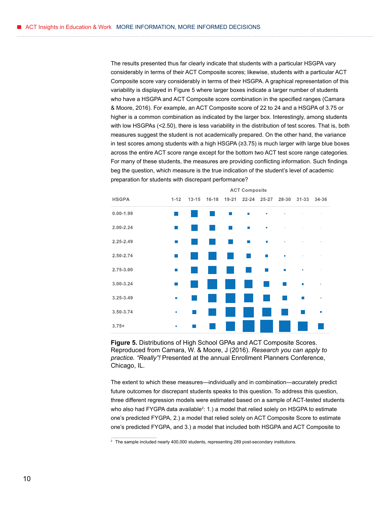The results presented thus far clearly indicate that students with a particular HSGPA vary considerably in terms of their ACT Composite scores; likewise, students with a particular ACT Composite score vary considerably in terms of their HSGPA. A graphical representation of this variability is displayed in Figure 5 where larger boxes indicate a larger number of students who have a HSGPA and ACT Composite score combination in the specified ranges (Camara & Moore, 2016). For example, an ACT Composite score of 22 to 24 and a HSGPA of 3.75 or higher is a common combination as indicated by the larger box. Interestingly, among students with low HSGPAs (<2.50), there is less variability in the distribution of test scores. That is, both measures suggest the student is not academically prepared. On the other hand, the variance in test scores among students with a high HSGPA (≥3.75) is much larger with large blue boxes across the entire ACT score range except for the bottom two ACT test score range categories. For many of these students, the measures are providing conflicting information. Such findings beg the question, which measure is the true indication of the student's level of academic preparation for students with discrepant performance?



**Figure 5.** Distributions of High School GPAs and ACT Composite Scores. Reproduced from Camara, W. & Moore, J (2016). *Research you can apply to practice. "Really"!* Presented at the annual Enrollment Planners Conference, Chicago, IL.

The extent to which these measures—individually and in combination—accurately predict future outcomes for discrepant students speaks to this question. To address this question, three different regression models were estimated based on a sample of ACT-tested students who also had FYGPA data available<sup>2</sup>: 1.) a model that relied solely on HSGPA to estimate one's predicted FYGPA, 2.) a model that relied solely on ACT Composite Score to estimate one's predicted FYGPA, and 3.) a model that included both HSGPA and ACT Composite to

<sup>&</sup>lt;sup>2</sup> The sample included nearly 400,000 students, representing 289 post-secondary institutions.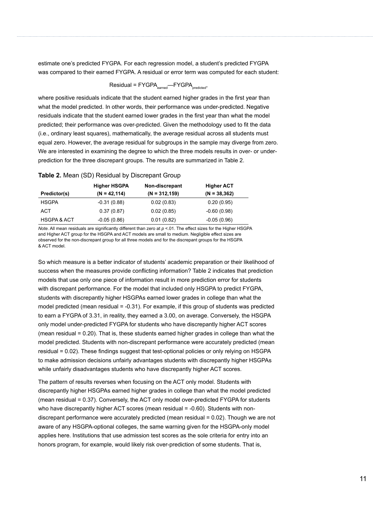estimate one's predicted FYGPA. For each regression model, a student's predicted FYGPA was compared to their earned FYGPA. A residual or error term was computed for each student:

$$
Residual = FYGPA_{\text{eamed}} - FYGPA_{\text{predicted}},
$$

where positive residuals indicate that the student earned higher grades in the first year than what the model predicted. In other words, their performance was under-predicted. Negative residuals indicate that the student earned lower grades in the first year than what the model predicted; their performance was over-predicted. Given the methodology used to fit the data (i.e., ordinary least squares), mathematically, the average residual across all students must equal zero. However, the average residual for subgroups in the sample may diverge from zero. We are interested in examining the degree to which the three models results in over- or underprediction for the three discrepant groups. The results are summarized in Table 2.

#### **Table 2.** Mean (SD) Residual by Discrepant Group

|                        | <b>Higher HSGPA</b> | Non-discrepant   | <b>Higher ACT</b> |
|------------------------|---------------------|------------------|-------------------|
| Predictor(s)           | $(N = 42, 114)$     | $(N = 312, 159)$ | $(N = 38, 362)$   |
| <b>HSGPA</b>           | $-0.31(0.88)$       | 0.02(0.83)       | 0.20(0.95)        |
| ACT                    | 0.37(0.87)          | 0.02(0.85)       | $-0.60(0.98)$     |
| <b>HSGPA &amp; ACT</b> | $-0.05(0.86)$       | 0.01(0.82)       | $-0.05(0.96)$     |

*Note*. All mean residuals are significantly different than zero at *p* <.01. The effect sizes for the Higher HSGPA and Higher ACT group for the HSGPA and ACT models are small to medium. Negligible effect sizes are observed for the non-discrepant group for all three models and for the discrepant groups for the HSGPA & ACT model.

So which measure is a better indicator of students' academic preparation or their likelihood of success when the measures provide conflicting information? Table 2 indicates that prediction models that use only one piece of information result in more prediction error for students with discrepant performance. For the model that included only HSGPA to predict FYGPA, students with discrepantly higher HSGPAs earned lower grades in college than what the model predicted (mean residual = -0.31). For example, if this group of students was predicted to earn a FYGPA of 3.31, in reality, they earned a 3.00, on average. Conversely, the HSGPA only model under-predicted FYGPA for students who have discrepantly higher ACT scores (mean residual = 0.20). That is, these students earned higher grades in college than what the model predicted. Students with non-discrepant performance were accurately predicted (mean residual = 0.02). These findings suggest that test-optional policies or only relying on HSGPA to make admission decisions unfairly advantages students with discrepantly higher HSGPAs while unfairly disadvantages students who have discrepantly higher ACT scores.

The pattern of results reverses when focusing on the ACT only model. Students with discrepantly higher HSGPAs earned higher grades in college than what the model predicted (mean residual = 0.37). Conversely, the ACT only model over-predicted FYGPA for students who have discrepantly higher ACT scores (mean residual = -0.60). Students with nondiscrepant performance were accurately predicted (mean residual = 0.02). Though we are not aware of any HSGPA-optional colleges, the same warning given for the HSGPA-only model applies here. Institutions that use admission test scores as the sole criteria for entry into an honors program, for example, would likely risk over-prediction of some students. That is,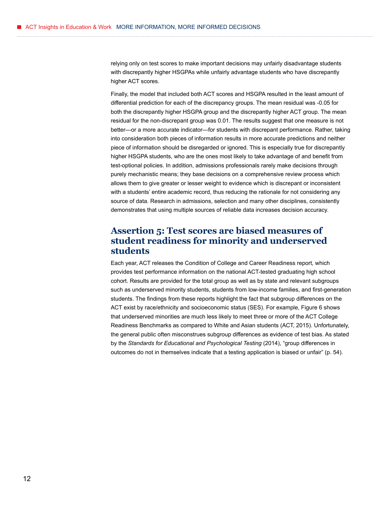relying only on test scores to make important decisions may unfairly disadvantage students with discrepantly higher HSGPAs while unfairly advantage students who have discrepantly higher ACT scores.

Finally, the model that included both ACT scores and HSGPA resulted in the least amount of differential prediction for each of the discrepancy groups. The mean residual was -0.05 for both the discrepantly higher HSGPA group and the discrepantly higher ACT group. The mean residual for the non-discrepant group was 0.01. The results suggest that one measure is not better—or a more accurate indicator—for students with discrepant performance. Rather, taking into consideration both pieces of information results in more accurate predictions and neither piece of information should be disregarded or ignored. This is especially true for discrepantly higher HSGPA students, who are the ones most likely to take advantage of and benefit from test-optional policies. In addition, admissions professionals rarely make decisions through purely mechanistic means; they base decisions on a comprehensive review process which allows them to give greater or lesser weight to evidence which is discrepant or inconsistent with a students' entire academic record, thus reducing the rationale for not considering any source of data. Research in admissions, selection and many other disciplines, consistently demonstrates that using multiple sources of reliable data increases decision accuracy.

### **Assertion 5: Test scores are biased measures of student readiness for minority and underserved students**

Each year, ACT releases the Condition of College and Career Readiness report, which provides test performance information on the national ACT-tested graduating high school cohort. Results are provided for the total group as well as by state and relevant subgroups such as underserved minority students, students from low-income families, and first-generation students. The findings from these reports highlight the fact that subgroup differences on the ACT exist by race/ethnicity and socioeconomic status (SES). For example, Figure 6 shows that underserved minorities are much less likely to meet three or more of the ACT College Readiness Benchmarks as compared to White and Asian students (ACT, 2015). Unfortunately, the general public often misconstrues subgroup differences as evidence of test bias. As stated by the *Standards for Educational and Psychological Testing* (2014), "group differences in outcomes do not in themselves indicate that a testing application is biased or unfair" (p. 54).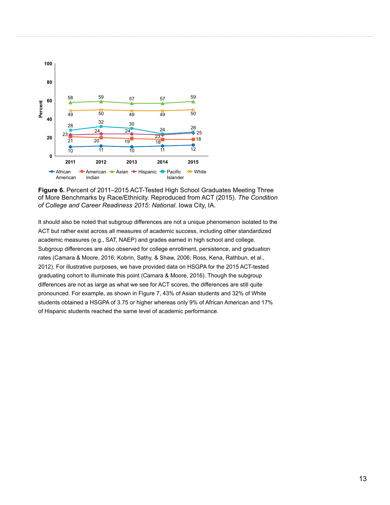

**Figure 6.** Percent of 2011–2015 ACT-Tested High School Graduates Meeting Three of More Benchmarks by Race/Ethnicity. Reproduced from ACT (2015). *The Condition of College and Career Readiness 2015: National*. Iowa City, IA.

It should also be noted that subgroup differences are not a unique phenomenon isolated to the ACT but rather exist across all measures of academic success, including other standardized academic measures (e.g., SAT, NAEP) and grades earned in high school and college. Subgroup differences are also observed for college enrollment, persistence, and graduation rates (Camara & Moore, 2016; Kobrin, Sathy, & Shaw, 2006; Ross, Kena, Rathbun, et al., 2012). For illustrative purposes, we have provided data on HSGPA for the 2015 ACT-tested graduating cohort to illuminate this point (Camara & Moore, 2016). Though the subgroup differences are not as large as what we see for ACT scores, the differences are still quite pronounced. For example, as shown in Figure 7, 43% of Asian students and 32% of White students obtained a HSGPA of 3.75 or higher whereas only 9% of African American and 17% of Hispanic students reached the same level of academic performance.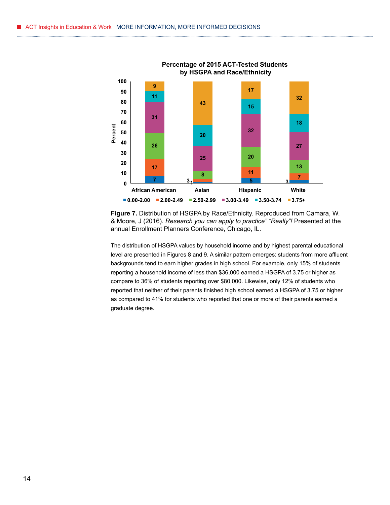

**Percentage of 2015 ACT-Tested Students** 

**Figure 7.** Distribution of HSGPA by Race/Ethnicity. Reproduced from Camara, W. & Moore, J (2016). *Research you can apply to practice" "Really"!* Presented at the annual Enrollment Planners Conference, Chicago, IL.

The distribution of HSGPA values by household income and by highest parental educational level are presented in Figures 8 and 9. A similar pattern emerges: students from more affluent backgrounds tend to earn higher grades in high school. For example, only 15% of students reporting a household income of less than \$36,000 earned a HSGPA of 3.75 or higher as compare to 36% of students reporting over \$80,000. Likewise, only 12% of students who reported that neither of their parents finished high school earned a HSGPA of 3.75 or higher as compared to 41% for students who reported that one or more of their parents earned a graduate degree.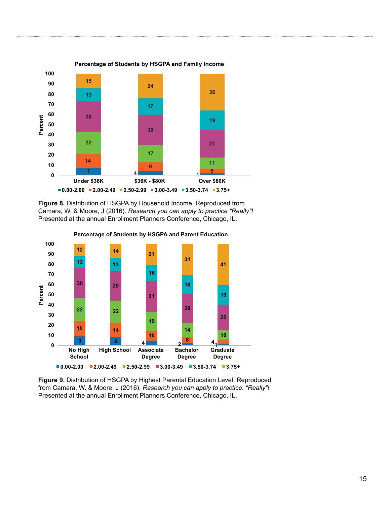

**Figure 8.** Distribution of HSGPA by Household Income. Reproduced from Camara, W. & Moore, J (2016). *Research you can apply to practice "Really"!* Presented at the annual Enrollment Planners Conference, Chicago, IL.



**Percentage of Students by HSGPA and Parent Education** 

**Figure 9.** Distribution of HSGPA by Highest Parental Education Level. Reproduced from Camara, W. & Moore, J (2016). *Research you can apply to practice. "Really"!* Presented at the annual Enrollment Planners Conference, Chicago, IL.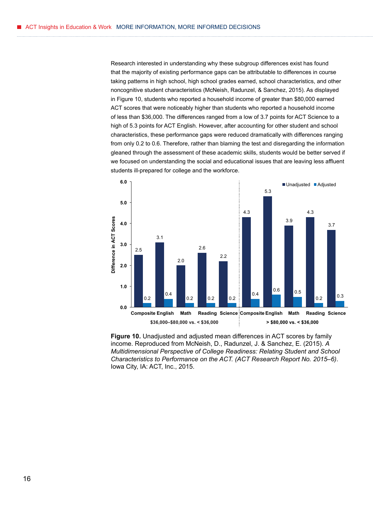Research interested in understanding why these subgroup differences exist has found that the majority of existing performance gaps can be attributable to differences in course taking patterns in high school, high school grades earned, school characteristics, and other noncognitive student characteristics (McNeish, Radunzel, & Sanchez, 2015). As displayed in Figure 10, students who reported a household income of greater than \$80,000 earned ACT scores that were noticeably higher than students who reported a household income of less than \$36,000. The differences ranged from a low of 3.7 points for ACT Science to a high of 5.3 points for ACT English. However, after accounting for other student and school characteristics, these performance gaps were reduced dramatically with differences ranging from only 0.2 to 0.6. Therefore, rather than blaming the test and disregarding the information gleaned through the assessment of these academic skills, students would be better served if we focused on understanding the social and educational issues that are leaving less affluent students ill-prepared for college and the workforce.



**Figure 10.** Unadjusted and adjusted mean differences in ACT scores by family income. Reproduced from McNeish, D., Radunzel, J. & Sanchez, E. (2015). *A Multidimensional Perspective of College Readiness: Relating Student and School Characteristics to Performance on the ACT. (ACT Research Report No. 2015–6)*. Iowa City, IA: ACT, Inc., 2015.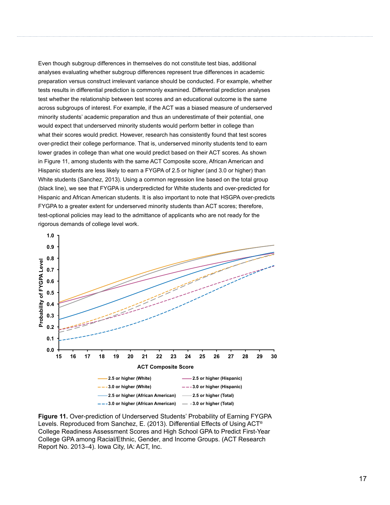Even though subgroup differences in themselves do not constitute test bias, additional analyses evaluating whether subgroup differences represent true differences in academic preparation versus construct irrelevant variance should be conducted. For example, whether tests results in differential prediction is commonly examined. Differential prediction analyses test whether the relationship between test scores and an educational outcome is the same across subgroups of interest. For example, if the ACT was a biased measure of underserved minority students' academic preparation and thus an underestimate of their potential, one would expect that underserved minority students would perform better in college than what their scores would predict. However, research has consistently found that test scores over-predict their college performance. That is, underserved minority students tend to earn lower grades in college than what one would predict based on their ACT scores. As shown in Figure 11, among students with the same ACT Composite score, African American and Hispanic students are less likely to earn a FYGPA of 2.5 or higher (and 3.0 or higher) than White students (Sanchez, 2013). Using a common regression line based on the total group (black line), we see that FYGPA is underpredicted for White students and over-predicted for Hispanic and African American students. It is also important to note that HSGPA over-predicts FYGPA to a greater extent for underserved minority students than ACT scores; therefore, test-optional policies may lead to the admittance of applicants who are not ready for the rigorous demands of college level work.



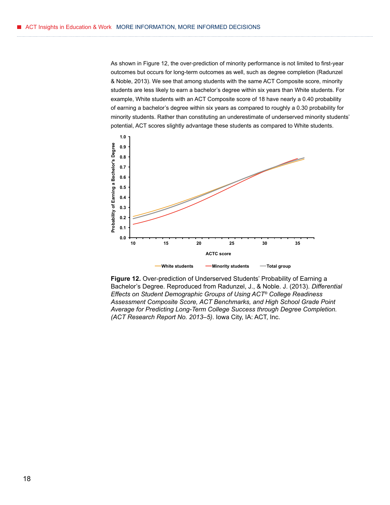As shown in Figure 12, the over-prediction of minority performance is not limited to first-year outcomes but occurs for long-term outcomes as well, such as degree completion (Radunzel & Noble, 2013). We see that among students with the same ACT Composite score, minority students are less likely to earn a bachelor's degree within six years than White students. For example, White students with an ACT Composite score of 18 have nearly a 0.40 probability of earning a bachelor's degree within six years as compared to roughly a 0.30 probability for minority students. Rather than constituting an underestimate of underserved minority students' potential, ACT scores slightly advantage these students as compared to White students.



**Figure 12.** Over-prediction of Underserved Students' Probability of Earning a Bachelor's Degree. Reproduced from Radunzel, J., & Noble. J. (2013). *Differential Effects on Student Demographic Groups of Using ACT® College Readiness Assessment Composite Score, ACT Benchmarks, and High School Grade Point Average for Predicting Long-Term College Success through Degree Completion. (ACT Research Report No. 2013–5)*. Iowa City, IA: ACT, Inc.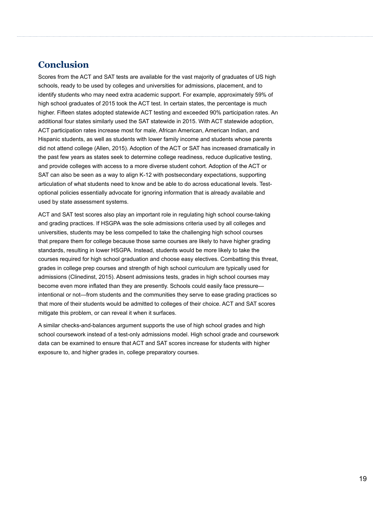## **Conclusion**

Scores from the ACT and SAT tests are available for the vast majority of graduates of US high schools, ready to be used by colleges and universities for admissions, placement, and to identify students who may need extra academic support. For example, approximately 59% of high school graduates of 2015 took the ACT test. In certain states, the percentage is much higher. Fifteen states adopted statewide ACT testing and exceeded 90% participation rates. An additional four states similarly used the SAT statewide in 2015. With ACT statewide adoption, ACT participation rates increase most for male, African American, American Indian, and Hispanic students, as well as students with lower family income and students whose parents did not attend college (Allen, 2015). Adoption of the ACT or SAT has increased dramatically in the past few years as states seek to determine college readiness, reduce duplicative testing, and provide colleges with access to a more diverse student cohort. Adoption of the ACT or SAT can also be seen as a way to align K-12 with postsecondary expectations, supporting articulation of what students need to know and be able to do across educational levels. Testoptional policies essentially advocate for ignoring information that is already available and used by state assessment systems.

ACT and SAT test scores also play an important role in regulating high school course-taking and grading practices. If HSGPA was the sole admissions criteria used by all colleges and universities, students may be less compelled to take the challenging high school courses that prepare them for college because those same courses are likely to have higher grading standards, resulting in lower HSGPA. Instead, students would be more likely to take the courses required for high school graduation and choose easy electives. Combatting this threat, grades in college prep courses and strength of high school curriculum are typically used for admissions (Clinedinst, 2015). Absent admissions tests, grades in high school courses may become even more inflated than they are presently. Schools could easily face pressure intentional or not—from students and the communities they serve to ease grading practices so that more of their students would be admitted to colleges of their choice. ACT and SAT scores mitigate this problem, or can reveal it when it surfaces.

A similar checks-and-balances argument supports the use of high school grades and high school coursework instead of a test-only admissions model. High school grade and coursework data can be examined to ensure that ACT and SAT scores increase for students with higher exposure to, and higher grades in, college preparatory courses.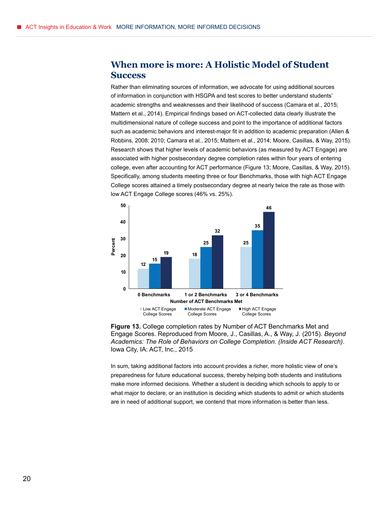#### **When more is more: A Holistic Model of Student Success**

Rather than eliminating sources of information, we advocate for using additional sources of information in conjunction with HSGPA and test scores to better understand students' academic strengths and weaknesses and their likelihood of success (Camara et al., 2015; Mattern et al., 2014). Empirical findings based on ACT-collected data clearly illustrate the multidimensional nature of college success and point to the importance of additional factors such as academic behaviors and interest-major fit in addition to academic preparation (Allen & Robbins, 2008; 2010; Camara et al., 2015; Mattern et al., 2014; Moore, Casillas, & Way, 2015). Research shows that higher levels of academic behaviors (as measured by ACT Engage) are associated with higher postsecondary degree completion rates within four years of entering college, even after accounting for ACT performance (Figure 13; Moore, Casillas, & Way, 2015). Specifically, among students meeting three or four Benchmarks, those with high ACT Engage College scores attained a timely postsecondary degree at nearly twice the rate as those with low ACT Engage College scores (46% vs. 25%).





In sum, taking additional factors into account provides a richer, more holistic view of one's preparedness for future educational success, thereby helping both students and institutions make more informed decisions. Whether a student is deciding which schools to apply to or what major to declare, or an institution is deciding which students to admit or which students are in need of additional support, we contend that more information is better than less.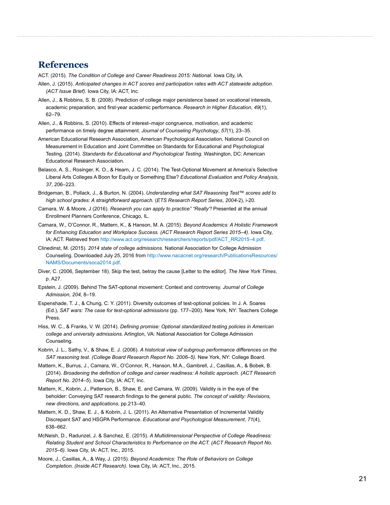#### **References**

ACT. (2015). *The Condition of College and Career Readiness 2015: National.* Iowa City, IA.

- Allen, J. (2015). *Anticipated changes in ACT scores and participation rates with ACT statewide adoption. (ACT Issue Brief).* Iowa City, IA: ACT, Inc.
- Allen, J., & Robbins, S. B. (2008). Prediction of college major persistence based on vocational interests, academic preparation, and first-year academic performance. *Research in Higher Education*, *49*(1), 62–79.
- Allen, J., & Robbins, S. (2010). Effects of interest–major congruence, motivation, and academic performance on timely degree attainment. *Journal of Counseling Psychology*, *57*(1), 23–35.
- American Educational Research Association, American Psychological Association, National Council on Measurement in Education and Joint Committee on Standards for Educational and Psychological Testing. (2014). *Standards for Educational and Psychological Testing.* Washington, DC: American Educational Research Association.
- Belasco, A. S., Rosinger, K. O., & Hearn, J. C. (2014). The Test-Optional Movement at America's Selective Liberal Arts Colleges A Boon for Equity or Something Else? *Educational Evaluation and Policy Analysis, 37*, 206–223.
- Bridgeman, B., Pollack, J., & Burton, N. (2004). *Understanding what SAT Reasoning Test™ scores add to high school grades: A straightforward approach.* (*ETS Research Report Series*, *2004*-2), i-20.
- Camara, W. & Moore, J (2016). *Research you can apply to practice" "Really"!* Presented at the annual Enrollment Planners Conference, Chicago, IL.
- Camara, W., O'Connor, R., Mattern, K., & Hanson, M. A. (2015). *Beyond Academics: A Holistic Framework for Enhancing Education and Workplace Success. (ACT Research Report Series 2015–4)*. Iowa City, IA: ACT. Retrieved from [http://www.act.org/research/researchers/reports/pdf/ACT\\_RR2015–4.pdf.](http://www.act.org/research/researchers/reports/pdf/ACT_RR2015%E2%80%934.pdf)
- Clinedinst, M. (2015). *2014 state of college admissions.* National Association for College Admission Counseling. Downloaded July 25, 2016 from [http://www.nacacnet.org/research/PublicationsResources/](http://www.nacacnet.org/research/PublicationsResources/NAMS/Documents/soca2014.pdf) [NAMS/Documents/soca2014.pdf.](http://www.nacacnet.org/research/PublicationsResources/NAMS/Documents/soca2014.pdf)
- Diver, C. (2006, September 18). Skip the test, betray the cause [Letter to the editor]. *The New York Times*, p. A27.
- Epstein, J. (2009). Behind The SAT-optional movement: Context and controversy. *Journal of College Admission, 204,* 8–19.
- Espenshade, T. J., & Chung, C. Y. (2011). Diversity outcomes of test-optional policies. In J. A. Soares (Ed.), *SAT wars: The case for test-optional admissions* (pp. 177–200). New York, NY: Teachers College Press.
- Hiss, W. C., & Franks, V. W. (2014). *Defining promise: Optional standardized testing policies in American college and university admissions*. Arlington, VA: National Association for College Admission Counseling.
- Kobrin, J. L., Sathy, V., & Shaw, E. J. (2006). *A historical view of subgroup performance differences on the SAT reasoning test. (College Board Research Report No. 2006–5).* New York, NY: College Board.
- Mattern, K., Burrus, J., Camara, W., O'Connor, R., Hanson, M.A., Gambrell, J., Casillas, A., & Bobek, B. (2014). *Broadening the definition of college and career readiness: A holistic approach. (ACT Research Report No. 2014–5*). Iowa City, IA: ACT, Inc.
- Mattern, K., Kobrin, J., Patterson, B., Shaw, E. and Camara, W. (2009). Validity is in the eye of the beholder: Conveying SAT research findings to the general public. *The concept of validity: Revisions, new directions, and applications*, pp.213–40.
- Mattern, K. D., Shaw, E. J., & Kobrin, J. L. (2011). An Alternative Presentation of Incremental Validity Discrepant SAT and HSGPA Performance. *Educational and Psychological Measurement*, *71*(4), 638–662.
- McNeish, D., Radunzel, J. & Sanchez, E. (2015). *A Multidimensional Perspective of College Readiness: Relating Student and School Characteristics to Performance on the ACT. (ACT Research Report No. 2015–6).* Iowa City, IA: ACT, Inc., 2015.
- Moore, J., Casillas, A., & Way, J. (2015). *Beyond Academics: The Role of Behaviors on College Completion. (Inside ACT Research).* Iowa City, IA: ACT, Inc., 2015.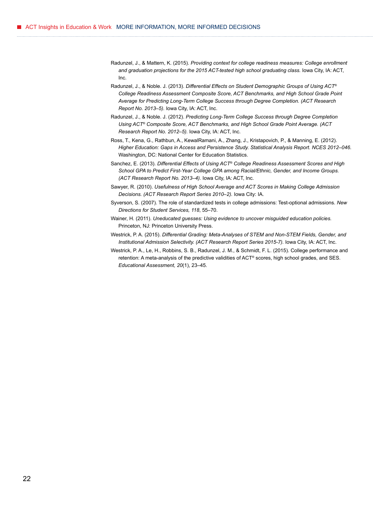- Radunzel, J., & Mattern, K. (2015). *Providing context for college readiness measures: College enrollment and graduation projections for the 2015 ACT-tested high school graduating class.* Iowa City, IA: ACT, Inc.
- Radunzel, J., & Noble. J. (2013). *Differential Effects on Student Demographic Groups of Using ACT® College Readiness Assessment Composite Score, ACT Benchmarks, and High School Grade Point Average for Predicting Long-Term College Success through Degree Completion. (ACT Research Report No. 2013–5).* Iowa City, IA: ACT, Inc.
- Radunzel, J., & Noble. J. (2012). *Predicting Long-Term College Success through Degree Completion Using ACT® Composite Score, ACT Benchmarks, and High School Grade Point Average. (ACT Research Report No. 2012–5).* Iowa City, IA: ACT, Inc.
- Ross, T., Kena, G., Rathbun, A., KewalRamani, A., Zhang, J., Kristapovich, P., & Manning, E. (2012). *Higher Education: Gaps in Access and Persistence Study. Statistical Analysis Report. NCES 2012–046*. Washington, DC: National Center for Education Statistics.
- Sanchez, E. (2013). *Differential Effects of Using ACT® College Readiness Assessment Scores and High School GPA to Predict First-Year College GPA among Racial/Ethnic, Gender, and Income Groups. (ACT Research Report No. 2013–4).* Iowa City, IA: ACT, Inc.
- Sawyer, R. (2010). *Usefulness of High School Average and ACT Scores in Making College Admission Decisions. (ACT Research Report Series 2010–2).* Iowa City: IA.
- Syverson, S. (2007). The role of standardized tests in college admissions: Test-optional admissions. *New Directions for Student Services, 118*, 55–70.
- Wainer, H. (2011). *Uneducated guesses: Using evidence to uncover misguided education policies.* Princeton, NJ: Princeton University Press.
- Westrick, P. A. (2015). *Differential Grading: Meta-Analyses of STEM and Non-STEM Fields, Gender, and Institutional Admission Selectivity. (ACT Research Report Series 2015-7).* Iowa City, IA: ACT, Inc.
- Westrick, P. A., Le, H., Robbins, S. B., Radunzel, J. M., & Schmidt, F. L. (2015). College performance and retention: A meta-analysis of the predictive validities of ACT® scores, high school grades, and SES. *Educational Assessment, 20*(1), 23–45.